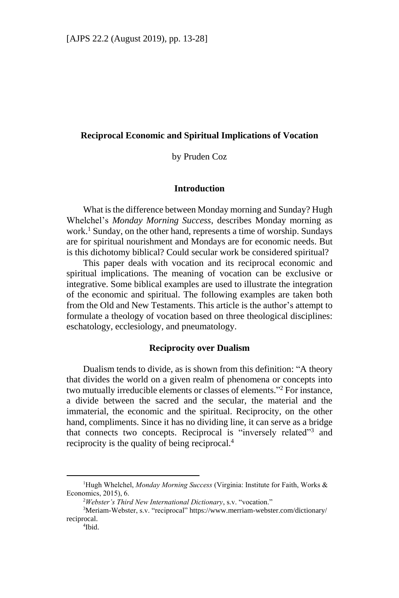#### **Reciprocal Economic and Spiritual Implications of Vocation**

by Pruden Coz

#### **Introduction**

What is the difference between Monday morning and Sunday? Hugh Whelchel's *Monday Morning Success*, describes Monday morning as work.<sup>1</sup> Sunday, on the other hand, represents a time of worship. Sundays are for spiritual nourishment and Mondays are for economic needs. But is this dichotomy biblical? Could secular work be considered spiritual?

This paper deals with vocation and its reciprocal economic and spiritual implications. The meaning of vocation can be exclusive or integrative. Some biblical examples are used to illustrate the integration of the economic and spiritual. The following examples are taken both from the Old and New Testaments. This article is the author's attempt to formulate a theology of vocation based on three theological disciplines: eschatology, ecclesiology, and pneumatology.

#### **Reciprocity over Dualism**

Dualism tends to divide, as is shown from this definition: "A theory that divides the world on a given realm of phenomena or concepts into two mutually irreducible elements or classes of elements." <sup>2</sup> For instance, a divide between the sacred and the secular, the material and the immaterial, the economic and the spiritual. Reciprocity, on the other hand, compliments. Since it has no dividing line, it can serve as a bridge that connects two concepts. Reciprocal is "inversely related"<sup>3</sup> and reciprocity is the quality of being reciprocal.<sup>4</sup>

<sup>&</sup>lt;sup>1</sup>Hugh Whelchel, *Monday Morning Success* (Virginia: Institute for Faith, Works & Economics, 2015), 6.

<sup>2</sup>*Webster's Third New International Dictionary*, s.v. "vocation."

<sup>3</sup>Meriam-Webster, s.v. "reciprocal" https://www.merriam-webster.com/dictionary/ reciprocal.

<sup>4</sup> Ibid.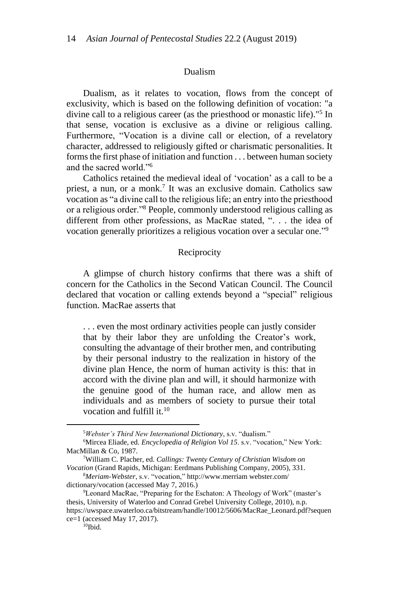#### Dualism

Dualism, as it relates to vocation, flows from the concept of exclusivity, which is based on the following definition of vocation: "a divine call to a religious career (as the priesthood or monastic life)."<sup>5</sup> In that sense, vocation is exclusive as a divine or religious calling. Furthermore, "Vocation is a divine call or election, of a revelatory character, addressed to religiously gifted or charismatic personalities. It forms the first phase of initiation and function . . . between human society and the sacred world."<sup>6</sup>

Catholics retained the medieval ideal of 'vocation' as a call to be a priest, a nun, or a monk.<sup>7</sup> It was an exclusive domain. Catholics saw vocation as "a divine call to the religious life; an entry into the priesthood or a religious order."<sup>8</sup> People, commonly understood religious calling as different from other professions, as MacRae stated, ". . . the idea of vocation generally prioritizes a religious vocation over a secular one."<sup>9</sup>

# Reciprocity

A glimpse of church history confirms that there was a shift of concern for the Catholics in the Second Vatican Council. The Council declared that vocation or calling extends beyond a "special" religious function. MacRae asserts that

. . . even the most ordinary activities people can justly consider that by their labor they are unfolding the Creator's work, consulting the advantage of their brother men, and contributing by their personal industry to the realization in history of the divine plan Hence, the norm of human activity is this: that in accord with the divine plan and will, it should harmonize with the genuine good of the human race, and allow men as individuals and as members of society to pursue their total vocation and fulfill it.<sup>10</sup>

<sup>5</sup>*Webster's Third New International Dictionary*, s.v. "dualism."

<sup>&</sup>lt;sup>6</sup>Mircea Eliade, ed. *Encyclopedia of Religion Vol 15*. s.v. "vocation," New York: MacMillan & Co, 1987.

<sup>7</sup>William C. Placher, ed. *Callings: Twenty Century of Christian Wisdom on Vocation* (Grand Rapids, Michigan: Eerdmans Publishing Company, 2005), 331.

<sup>8</sup>*Meriam-Webster*, s.v. "vocation," http://www.merriam webster.com/ dictionary/vocation (accessed May 7, 2016.)

<sup>9</sup>Leonard MacRae, "Preparing for the Eschaton: A Theology of Work" (master's thesis, University of Waterloo and Conrad Grebel University College, 2010), n.p. https://uwspace.uwaterloo.ca/bitstream/handle/10012/5606/MacRae\_Leonard.pdf?sequen ce=1 (accessed May 17, 2017).

 $10$ Ibid.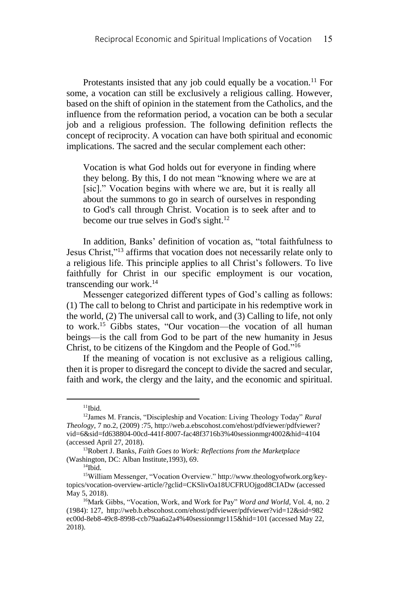Protestants insisted that any job could equally be a vocation.<sup>11</sup> For some, a vocation can still be exclusively a religious calling. However, based on the shift of opinion in the statement from the Catholics, and the influence from the reformation period, a vocation can be both a secular job and a religious profession. The following definition reflects the concept of reciprocity. A vocation can have both spiritual and economic implications. The sacred and the secular complement each other:

Vocation is what God holds out for everyone in finding where they belong. By this, I do not mean "knowing where we are at [sic]." Vocation begins with where we are, but it is really all about the summons to go in search of ourselves in responding to God's call through Christ. Vocation is to seek after and to become our true selves in God's sight.<sup>12</sup>

In addition, Banks' definition of vocation as, "total faithfulness to Jesus Christ,"<sup>13</sup> affirms that vocation does not necessarily relate only to a religious life. This principle applies to all Christ's followers. To live faithfully for Christ in our specific employment is our vocation, transcending our work.<sup>14</sup>

Messenger categorized different types of God's calling as follows: (1) The call to belong to Christ and participate in his redemptive work in the world, (2) The universal call to work, and (3) Calling to life, not only to work.<sup>15</sup> Gibbs states, "Our vocation—the vocation of all human beings—is the call from God to be part of the new humanity in Jesus Christ, to be citizens of the Kingdom and the People of God." 16

If the meaning of vocation is not exclusive as a religious calling, then it is proper to disregard the concept to divide the sacred and secular, faith and work, the clergy and the laity, and the economic and spiritual.

 $11$ Ibid.

<sup>12</sup>James M. Francis, "Discipleship and Vocation: Living Theology Today" *Rural Theology*, 7 no.2, (2009) :75, http://web.a.ebscohost.com/ehost/pdfviewer/pdfviewer? vid=6&sid=fd638804-00cd-441f-8007-fac48f3716b3%40sessionmgr4002&hid=4104 (accessed April 27, 2018).

<sup>13</sup>Robert J. Banks, *Faith Goes to Work: Reflections from the Marketplace* (Washington, DC: Alban Institute,1993), 69.

 $14$ Ibid.

<sup>15</sup>William Messenger, "Vocation Overview." http://www.theologyofwork.org/keytopics/vocation-overview-article/?gclid=CKSlivOa18UCFRUOjgod8CIADw (accessed May 5, 2018).

<sup>16</sup>Mark Gibbs, "Vocation, Work, and Work for Pay" *Word and World,* Vol. 4, no. 2 (1984): 127, http://web.b.ebscohost.com/ehost/pdfviewer/pdfviewer?vid=12&sid=982 ec00d-8eb8-49c8-8998-ccb79aa6a2a4%40sessionmgr115&hid=101 (accessed May 22, 2018).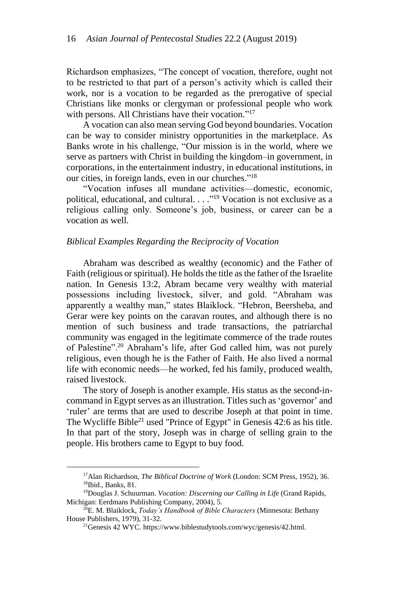Richardson emphasizes, "The concept of vocation, therefore, ought not to be restricted to that part of a person's activity which is called their work, nor is a vocation to be regarded as the prerogative of special Christians like monks or clergyman or professional people who work with persons. All Christians have their vocation."<sup>17</sup>

A vocation can also mean serving God beyond boundaries. Vocation can be way to consider ministry opportunities in the marketplace. As Banks wrote in his challenge, "Our mission is in the world, where we serve as partners with Christ in building the kingdom–in government, in corporations, in the entertainment industry, in educational institutions, in our cities, in foreign lands, even in our churches." 18

"Vocation infuses all mundane activities—domestic, economic, political, educational, and cultural. . . . "<sup>19</sup> Vocation is not exclusive as a religious calling only. Someone's job, business, or career can be a vocation as well.

# *Biblical Examples Regarding the Reciprocity of Vocation*

Abraham was described as wealthy (economic) and the Father of Faith (religious or spiritual). He holds the title as the father of the Israelite nation. In Genesis 13:2, Abram became very wealthy with material possessions including livestock, silver, and gold. "Abraham was apparently a wealthy man," states Blaiklock. "Hebron, Beersheba, and Gerar were key points on the caravan routes, and although there is no mention of such business and trade transactions, the patriarchal community was engaged in the legitimate commerce of the trade routes of Palestine".<sup>20</sup> Abraham's life, after God called him, was not purely religious, even though he is the Father of Faith. He also lived a normal life with economic needs⸻he worked, fed his family, produced wealth, raised livestock.

The story of Joseph is another example. His status as the second-incommand in Egypt serves as an illustration. Titles such as 'governor' and 'ruler' are terms that are used to describe Joseph at that point in time. The Wycliffe Bible<sup>21</sup> used "Prince of Egypt" in Genesis 42:6 as his title. In that part of the story, Joseph was in charge of selling grain to the people. His brothers came to Egypt to buy food.

<sup>17</sup>Alan Richardson, *The Biblical Doctrine of Work* (London: SCM Press, 1952), 36. <sup>18</sup>Ibid., Banks, 81.

<sup>19</sup>Douglas J. Schuurman. *Vocation: Discerning our Calling in Life* (Grand Rapids, Michigan: Eerdmans Publishing Company, 2004), 5.

<sup>20</sup>E. M. Blaiklock, *Today's Handbook of Bible Characters* (Minnesota: Bethany House Publishers, 1979), 31-32.

<sup>21</sup>Genesis 42 WYC. https://www.biblestudytools.com/wyc/genesis/42.html.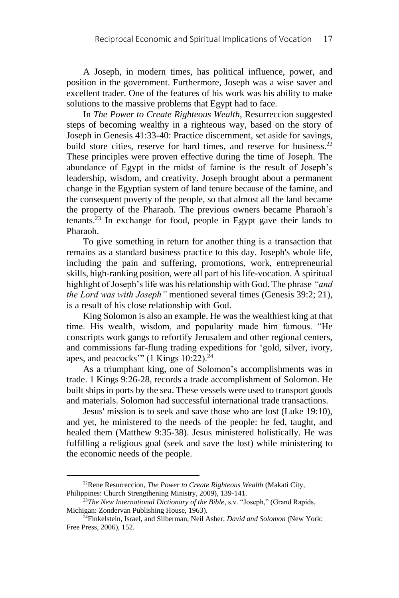A Joseph, in modern times, has political influence, power, and position in the government. Furthermore, Joseph was a wise saver and excellent trader. One of the features of his work was his ability to make solutions to the massive problems that Egypt had to face.

In *The Power to Create Righteous Wealth*, Resurreccion suggested steps of becoming wealthy in a righteous way, based on the story of Joseph in Genesis 41:33-40: Practice discernment, set aside for savings, build store cities, reserve for hard times, and reserve for business.<sup>22</sup> These principles were proven effective during the time of Joseph. The abundance of Egypt in the midst of famine is the result of Joseph's leadership, wisdom, and creativity. Joseph brought about a permanent change in the Egyptian system of land tenure because of the famine, and the consequent poverty of the people, so that almost all the land became the property of the Pharaoh. The previous owners became Pharaoh's tenants.<sup>23</sup> In exchange for food, people in Egypt gave their lands to Pharaoh.

To give something in return for another thing is a transaction that remains as a standard business practice to this day. Joseph's whole life, including the pain and suffering, promotions, work, entrepreneurial skills, high-ranking position, were all part of his life-vocation. A spiritual highlight of Joseph's life was his relationship with God. The phrase *"and the Lord was with Joseph"* mentioned several times (Genesis 39:2; 21), is a result of his close relationship with God.

King Solomon is also an example. He was the wealthiest king at that time. His wealth, wisdom, and popularity made him famous. "He conscripts work gangs to refortify Jerusalem and other regional centers, and commissions far-flung trading expeditions for 'gold, silver, ivory, apes, and peacocks" (1 Kings  $10:22$ ).<sup>24</sup>

As a triumphant king, one of Solomon's accomplishments was in trade. 1 Kings 9:26-28, records a trade accomplishment of Solomon. He built ships in ports by the sea. These vessels were used to transport goods and materials. Solomon had successful international trade transactions.

Jesus' mission is to seek and save those who are lost (Luke 19:10), and yet, he ministered to the needs of the people: he fed, taught, and healed them (Matthew 9:35-38). Jesus ministered holistically. He was fulfilling a religious goal (seek and save the lost) while ministering to the economic needs of the people.

<sup>22</sup>Rene Resurreccion, *The Power to Create Righteous Wealth* (Makati City, Philippines: Church Strengthening Ministry, 2009), 139-141.

<sup>&</sup>lt;sup>23</sup>The New International Dictionary of the Bible, s.v. "Joseph," (Grand Rapids, Michigan: Zondervan Publishing House, 1963).

<sup>24</sup>Finkelstein, Israel, and Silberman, Neil Asher, *David and Solomon* (New York: Free Press, 2006), 152.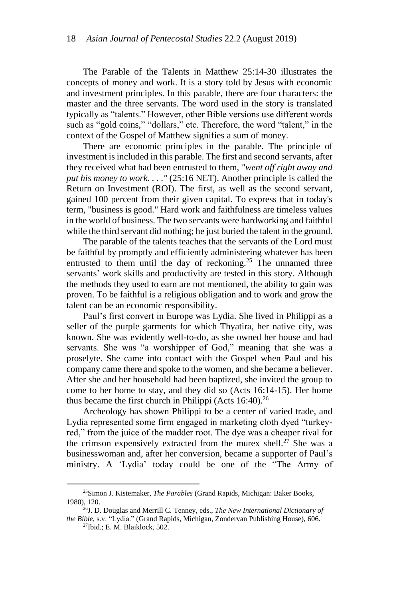The Parable of the Talents in Matthew 25:14-30 illustrates the concepts of money and work. It is a story told by Jesus with economic and investment principles. In this parable, there are four characters: the master and the three servants. The word used in the story is translated typically as "talents." However, other Bible versions use different words such as "gold coins," "dollars," etc. Therefore, the word "talent," in the context of the Gospel of Matthew signifies a sum of money.

There are economic principles in the parable. The principle of investment is included in this parable. The first and second servants, after they received what had been entrusted to them, *"went off right away and put his money to work. . . ."* (25:16 NET). Another principle is called the Return on Investment (ROI). The first, as well as the second servant, gained 100 percent from their given capital. To express that in today's term, "business is good." Hard work and faithfulness are timeless values in the world of business. The two servants were hardworking and faithful while the third servant did nothing; he just buried the talent in the ground.

The parable of the talents teaches that the servants of the Lord must be faithful by promptly and efficiently administering whatever has been entrusted to them until the day of reckoning.<sup>25</sup> The unnamed three servants' work skills and productivity are tested in this story. Although the methods they used to earn are not mentioned, the ability to gain was proven. To be faithful is a religious obligation and to work and grow the talent can be an economic responsibility.

Paul's first convert in Europe was Lydia. She lived in Philippi as a seller of the purple garments for which Thyatira, her native city, was known. She was evidently well-to-do, as she owned her house and had servants. She was "a worshipper of God," meaning that she was a proselyte. She came into contact with the Gospel when Paul and his company came there and spoke to the women, and she became a believer. After she and her household had been baptized, she invited the group to come to her home to stay, and they did so (Acts 16:14-15). Her home thus became the first church in Philippi (Acts  $16:40$ ).<sup>26</sup>

Archeology has shown Philippi to be a center of varied trade, and Lydia represented some firm engaged in marketing cloth dyed "turkeyred," from the juice of the madder root. The dye was a cheaper rival for the crimson expensively extracted from the murex shell.<sup>27</sup> She was a businesswoman and, after her conversion, became a supporter of Paul's ministry. A 'Lydia' today could be one of the "The Army of

<sup>25</sup>Simon J. Kistemaker, *The Parables* (Grand Rapids, Michigan: Baker Books, 1980), 120.

<sup>26</sup>J. D. Douglas and Merrill C. Tenney, eds., *The New International Dictionary of the Bible,* s.v. "Lydia." (Grand Rapids, Michigan, Zondervan Publishing House), 606.

 $27$ Ibid.: E. M. Blaiklock, 502.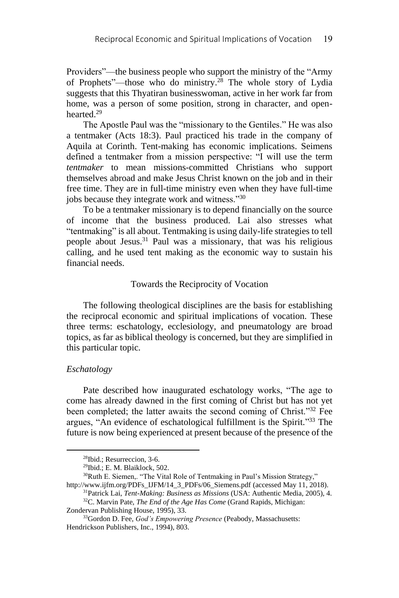Providers"⸻the business people who support the ministry of the "Army of Prophets"⸻those who do ministry.<sup>28</sup> The whole story of Lydia suggests that this Thyatiran businesswoman, active in her work far from home, was a person of some position, strong in character, and openhearted.<sup>29</sup>

The Apostle Paul was the "missionary to the Gentiles." He was also a tentmaker (Acts 18:3). Paul practiced his trade in the company of Aquila at Corinth. Tent-making has economic implications. Seimens defined a tentmaker from a mission perspective: "I will use the term *tentmaker* to mean missions-committed Christians who support themselves abroad and make Jesus Christ known on the job and in their free time. They are in full-time ministry even when they have full-time jobs because they integrate work and witness."<sup>30</sup>

To be a tentmaker missionary is to depend financially on the source of income that the business produced. Lai also stresses what "tentmaking" is all about. Tentmaking is using daily-life strategies to tell people about Jesus.<sup>31</sup> Paul was a missionary, that was his religious calling, and he used tent making as the economic way to sustain his financial needs.

#### Towards the Reciprocity of Vocation

The following theological disciplines are the basis for establishing the reciprocal economic and spiritual implications of vocation. These three terms: eschatology, ecclesiology, and pneumatology are broad topics, as far as biblical theology is concerned, but they are simplified in this particular topic.

#### *Eschatology*

<u>.</u>

Pate described how inaugurated eschatology works, "The age to come has already dawned in the first coming of Christ but has not yet been completed; the latter awaits the second coming of Christ."<sup>32</sup> Fee argues, "An evidence of eschatological fulfillment is the Spirit." <sup>33</sup> The future is now being experienced at present because of the presence of the

<sup>28</sup>Ibid.; Resurreccion, 3-6.

<sup>29</sup>Ibid.; E. M. Blaiklock, 502.

<sup>&</sup>lt;sup>30</sup>Ruth E. Siemen,. "The Vital Role of Tentmaking in Paul's Mission Strategy," http://www.ijfm.org/PDFs\_IJFM/14\_3\_PDFs/06\_Siemens.pdf (accessed May 11, 2018).

<sup>31</sup>Patrick Lai, *Tent-Making: Business as Missions* (USA: Authentic Media, 2005), 4. <sup>32</sup>C. Marvin Pate, *The End of the Age Has Come* (Grand Rapids, Michigan:

Zondervan Publishing House, 1995), 33.

<sup>33</sup>Gordon D. Fee, *God's Empowering Presence* (Peabody, Massachusetts: Hendrickson Publishers, Inc., 1994), 803.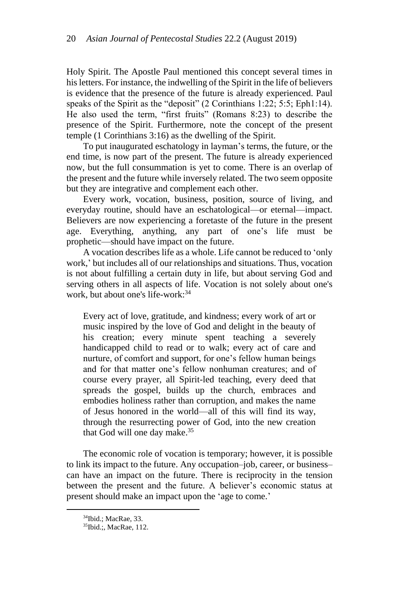Holy Spirit. The Apostle Paul mentioned this concept several times in his letters. For instance, the indwelling of the Spirit in the life of believers is evidence that the presence of the future is already experienced. Paul speaks of the Spirit as the "deposit" (2 Corinthians 1:22; 5:5; Eph1:14). He also used the term, "first fruits" (Romans 8:23) to describe the presence of the Spirit. Furthermore, note the concept of the present temple (1 Corinthians 3:16) as the dwelling of the Spirit.

To put inaugurated eschatology in layman's terms, the future, or the end time, is now part of the present. The future is already experienced now, but the full consummation is yet to come. There is an overlap of the present and the future while inversely related. The two seem opposite but they are integrative and complement each other.

Every work, vocation, business, position, source of living, and everyday routine, should have an eschatological—or eternal—impact. Believers are now experiencing a foretaste of the future in the present age. Everything, anything, any part of one's life must be prophetic⸻should have impact on the future.

A vocation describes life as a whole. Life cannot be reduced to 'only work,' but includes all of our relationships and situations. Thus, vocation is not about fulfilling a certain duty in life, but about serving God and serving others in all aspects of life. Vocation is not solely about one's work, but about one's life-work: 34

Every act of love, gratitude, and kindness; every work of art or music inspired by the love of God and delight in the beauty of his creation; every minute spent teaching a severely handicapped child to read or to walk; every act of care and nurture, of comfort and support, for one's fellow human beings and for that matter one's fellow nonhuman creatures; and of course every prayer, all Spirit-led teaching, every deed that spreads the gospel, builds up the church, embraces and embodies holiness rather than corruption, and makes the name of Jesus honored in the world—all of this will find its way, through the resurrecting power of God, into the new creation that God will one day make.<sup>35</sup>

The economic role of vocation is temporary; however, it is possible to link its impact to the future. Any occupation–job, career, or business– can have an impact on the future. There is reciprocity in the tension between the present and the future. A believer's economic status at present should make an impact upon the 'age to come.'

<sup>34</sup>Ibid.; MacRae, 33.

<sup>35</sup>Ibid.;, MacRae, 112.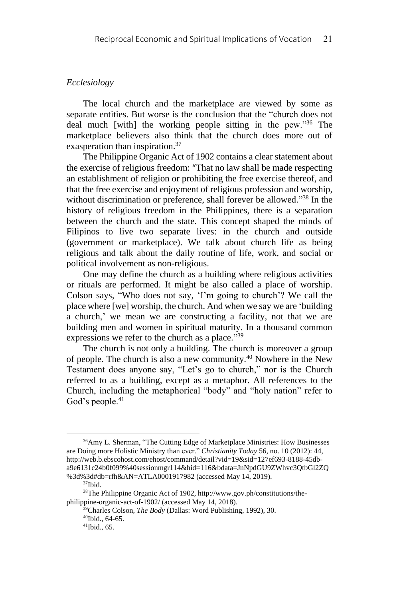## *Ecclesiology*

The local church and the marketplace are viewed by some as separate entities. But worse is the conclusion that the "church does not deal much [with] the working people sitting in the pew."<sup>36</sup> The marketplace believers also think that the church does more out of exasperation than inspiration.<sup>37</sup>

The Philippine Organic Act of 1902 contains a clear statement about the exercise of religious freedom: "That no law shall be made respecting an establishment of religion or prohibiting the free exercise thereof, and that the free exercise and enjoyment of religious profession and worship, without discrimination or preference, shall forever be allowed."<sup>38</sup> In the history of religious freedom in the Philippines, there is a separation between the church and the state. This concept shaped the minds of Filipinos to live two separate lives: in the church and outside (government or marketplace). We talk about church life as being religious and talk about the daily routine of life, work, and social or political involvement as non-religious.

One may define the church as a building where religious activities or rituals are performed. It might be also called a place of worship. Colson says, "Who does not say, 'I'm going to church'? We call the place where [we] worship, the church. And when we say we are 'building a church,' we mean we are constructing a facility, not that we are building men and women in spiritual maturity. In a thousand common expressions we refer to the church as a place."<sup>39</sup>

The church is not only a building. The church is moreover a group of people. The church is also a new community.<sup>40</sup> Nowhere in the New Testament does anyone say, "Let's go to church," nor is the Church referred to as a building, except as a metaphor. All references to the Church, including the metaphorical "body" and "holy nation" refer to God's people.<sup>41</sup>

<sup>36</sup>Amy L. Sherman, "The Cutting Edge of Marketplace Ministries: How Businesses are Doing more Holistic Ministry than ever." *Christianity Today* 56, no. 10 (2012): 44, http://web.b.ebscohost.com/ehost/command/detail?vid=19&sid=127ef693-8188-45dba9e6131c24b0f099%40sessionmgr114&hid=116&bdata=JnNpdGU9ZWhvc3QtbGl2ZQ %3d%3d#db=rfh&AN=ATLA0001917982 (accessed May 14, 2019).

<sup>37</sup>Ibid.

<sup>38</sup>The Philippine Organic Act of 1902, http://www.gov.ph/constitutions/thephilippine-organic-act-of-1902/ (accessed May 14, 2018).

<sup>39</sup>Charles Colson, *The Body* (Dallas: Word Publishing, 1992), 30.

<sup>40</sup>Ibid., 64-65.

<sup>41</sup>Ibid., 65.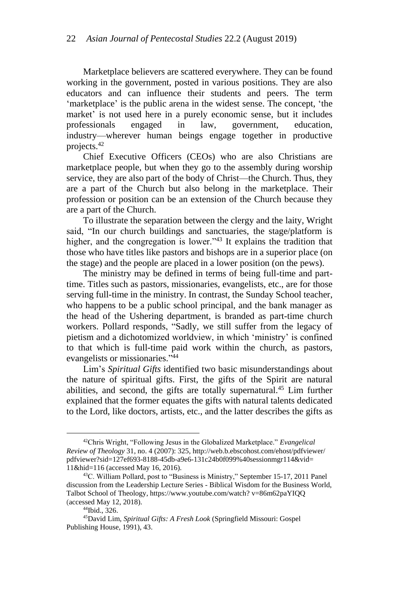Marketplace believers are scattered everywhere. They can be found working in the government, posted in various positions. They are also educators and can influence their students and peers. The term 'marketplace' is the public arena in the widest sense. The concept, 'the market' is not used here in a purely economic sense, but it includes professionals engaged in law, government, education, industry⸻wherever human beings engage together in productive projects.<sup>42</sup>

Chief Executive Officers (CEOs) who are also Christians are marketplace people, but when they go to the assembly during worship service, they are also part of the body of Christ—the Church. Thus, they are a part of the Church but also belong in the marketplace. Their profession or position can be an extension of the Church because they are a part of the Church.

To illustrate the separation between the clergy and the laity, Wright said, "In our church buildings and sanctuaries, the stage/platform is higher, and the congregation is lower."<sup>43</sup> It explains the tradition that those who have titles like pastors and bishops are in a superior place (on the stage) and the people are placed in a lower position (on the pews).

The ministry may be defined in terms of being full-time and parttime. Titles such as pastors, missionaries, evangelists, etc., are for those serving full-time in the ministry. In contrast, the Sunday School teacher, who happens to be a public school principal, and the bank manager as the head of the Ushering department, is branded as part-time church workers. Pollard responds, "Sadly, we still suffer from the legacy of pietism and a dichotomized worldview, in which 'ministry' is confined to that which is full-time paid work within the church, as pastors, evangelists or missionaries." 44

Lim's *Spiritual Gifts* identified two basic misunderstandings about the nature of spiritual gifts. First, the gifts of the Spirit are natural abilities, and second, the gifts are totally supernatural.<sup>45</sup> Lim further explained that the former equates the gifts with natural talents dedicated to the Lord, like doctors, artists, etc., and the latter describes the gifts as

<sup>42</sup>Chris Wright, "Following Jesus in the Globalized Marketplace." *Evangelical Review of Theology* 31, no. 4 (2007): 325, http://web.b.ebscohost.com/ehost/pdfviewer/ pdfviewer?sid=127ef693-8188-45db-a9e6-131c24b0f099%40sessionmgr114&vid= 11&hid=116 (accessed May 16, 2016).

<sup>43</sup>C. William Pollard, post to "Business is Ministry," September 15-17, 2011 Panel discussion from the Leadership Lecture Series - Biblical Wisdom for the Business World, Talbot School of Theology, https://www.youtube.com/watch? v=86m62paYIQQ (accessed May 12, 2018).

<sup>44</sup>Ibid., 326.

<sup>45</sup>David Lim, *Spiritual Gifts: A Fresh Look* (Springfield Missouri: Gospel Publishing House, 1991), 43.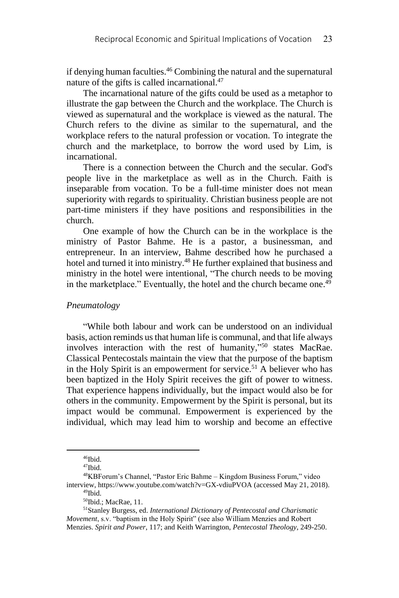if denying human faculties.<sup>46</sup> Combining the natural and the supernatural nature of the gifts is called incarnational.<sup>47</sup>

The incarnational nature of the gifts could be used as a metaphor to illustrate the gap between the Church and the workplace. The Church is viewed as supernatural and the workplace is viewed as the natural. The Church refers to the divine as similar to the supernatural, and the workplace refers to the natural profession or vocation. To integrate the church and the marketplace, to borrow the word used by Lim, is incarnational.

There is a connection between the Church and the secular. God's people live in the marketplace as well as in the Church. Faith is inseparable from vocation. To be a full-time minister does not mean superiority with regards to spirituality. Christian business people are not part-time ministers if they have positions and responsibilities in the church.

One example of how the Church can be in the workplace is the ministry of Pastor Bahme. He is a pastor, a businessman, and entrepreneur. In an interview, Bahme described how he purchased a hotel and turned it into ministry.<sup>48</sup> He further explained that business and ministry in the hotel were intentional, "The church needs to be moving in the marketplace." Eventually, the hotel and the church became one.<sup>49</sup>

# *Pneumatology*

"While both labour and work can be understood on an individual basis, action reminds us that human life is communal, and that life always involves interaction with the rest of humanity," <sup>50</sup> states MacRae. Classical Pentecostals maintain the view that the purpose of the baptism in the Holy Spirit is an empowerment for service.<sup>51</sup> A believer who has been baptized in the Holy Spirit receives the gift of power to witness. That experience happens individually, but the impact would also be for others in the community. Empowerment by the Spirit is personal, but its impact would be communal. Empowerment is experienced by the individual, which may lead him to worship and become an effective

 $46$ Ibid.

<sup>47</sup>Ibid.

<sup>48</sup>KBForum's Channel, "Pastor Eric Bahme – Kingdom Business Forum," video interview, https://www.youtube.com/watch?v=GX-vdiuPVOA (accessed May 21, 2018). <sup>49</sup>Ibid.

<sup>50</sup>Ibid.; MacRae, 11.

<sup>51</sup>Stanley Burgess, ed. *International Dictionary of Pentecostal and Charismatic Movement*, s.v. "baptism in the Holy Spirit" (see also William Menzies and Robert Menzies. *Spirit and Power*, 117; and Keith Warrington, *Pentecostal Theology*, 249-250.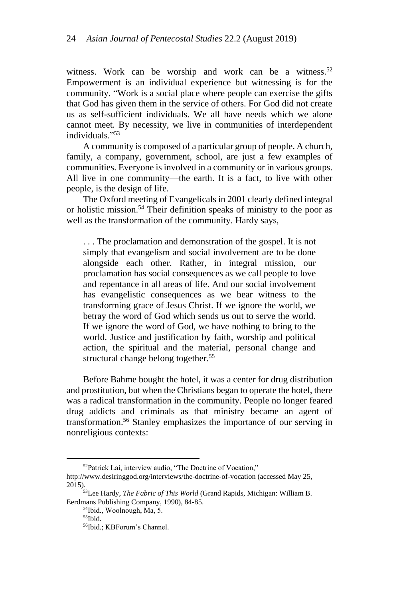witness. Work can be worship and work can be a witness.<sup>52</sup> Empowerment is an individual experience but witnessing is for the community. "Work is a social place where people can exercise the gifts that God has given them in the service of others. For God did not create us as self-sufficient individuals. We all have needs which we alone cannot meet. By necessity, we live in communities of interdependent individuals." 53

A community is composed of a particular group of people. A church, family, a company, government, school, are just a few examples of communities. Everyone is involved in a community or in various groups. All live in one community—the earth. It is a fact, to live with other people, is the design of life.

The Oxford meeting of Evangelicals in 2001 clearly defined integral or holistic mission.<sup>54</sup> Their definition speaks of ministry to the poor as well as the transformation of the community. Hardy says,

. . . The proclamation and demonstration of the gospel. It is not simply that evangelism and social involvement are to be done alongside each other. Rather, in integral mission, our proclamation has social consequences as we call people to love and repentance in all areas of life. And our social involvement has evangelistic consequences as we bear witness to the transforming grace of Jesus Christ. If we ignore the world, we betray the word of God which sends us out to serve the world. If we ignore the word of God, we have nothing to bring to the world. Justice and justification by faith, worship and political action, the spiritual and the material, personal change and structural change belong together.<sup>55</sup>

Before Bahme bought the hotel, it was a center for drug distribution and prostitution, but when the Christians began to operate the hotel, there was a radical transformation in the community. People no longer feared drug addicts and criminals as that ministry became an agent of transformation.<sup>56</sup> Stanley emphasizes the importance of our serving in nonreligious contexts:

<sup>52</sup>Patrick Lai, interview audio, "The Doctrine of Vocation,"

http://www.desiringgod.org/interviews/the-doctrine-of-vocation (accessed May 25, 2015).

<sup>53</sup>Lee Hardy, *The Fabric of This World* (Grand Rapids, Michigan: William B. Eerdmans Publishing Company, 1990), 84-85.

<sup>54</sup>Ibid., Woolnough, Ma, 5.

<sup>55</sup>Ibid.

<sup>56</sup>Ibid.; KBForum's Channel.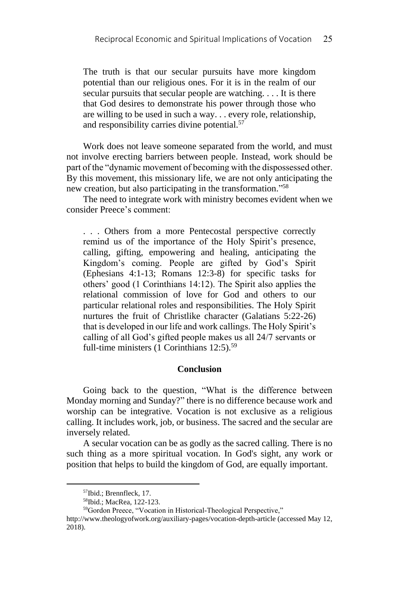The truth is that our secular pursuits have more kingdom potential than our religious ones. For it is in the realm of our secular pursuits that secular people are watching. . . . It is there that God desires to demonstrate his power through those who are willing to be used in such a way. . . every role, relationship, and responsibility carries divine potential.<sup>57</sup>

Work does not leave someone separated from the world, and must not involve erecting barriers between people. Instead, work should be part of the "dynamic movement of becoming with the dispossessed other. By this movement, this missionary life, we are not only anticipating the new creation, but also participating in the transformation." 58

The need to integrate work with ministry becomes evident when we consider Preece's comment:

. . . Others from a more Pentecostal perspective correctly remind us of the importance of the Holy Spirit's presence, calling, gifting, empowering and healing, anticipating the Kingdom's coming. People are gifted by God's Spirit (Ephesians 4:1-13; Romans 12:3-8) for specific tasks for others' good (1 Corinthians 14:12). The Spirit also applies the relational commission of love for God and others to our particular relational roles and responsibilities. The Holy Spirit nurtures the fruit of Christlike character (Galatians 5:22-26) that is developed in our life and work callings. The Holy Spirit's calling of all God's gifted people makes us all 24/7 servants or full-time ministers (1 Corinthians 12:5).<sup>59</sup>

#### **Conclusion**

Going back to the question, "What is the difference between Monday morning and Sunday?" there is no difference because work and worship can be integrative. Vocation is not exclusive as a religious calling. It includes work, job, or business. The sacred and the secular are inversely related.

A secular vocation can be as godly as the sacred calling. There is no such thing as a more spiritual vocation. In God's sight, any work or position that helps to build the kingdom of God, are equally important.

<sup>57</sup>Ibid.; Brennfleck, 17.

<sup>58</sup>Ibid.; MacRea, 122-123.

<sup>59</sup>Gordon Preece, "Vocation in Historical-Theological Perspective,"

http://www.theologyofwork.org/auxiliary-pages/vocation-depth-article (accessed May 12, 2018).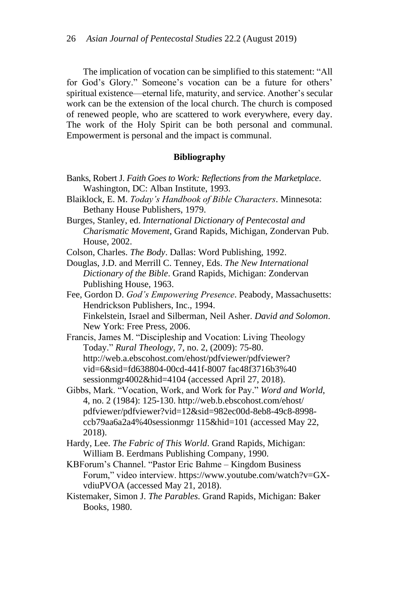The implication of vocation can be simplified to this statement: "All for God's Glory." Someone's vocation can be a future for others' spiritual existence—eternal life, maturity, and service. Another's secular work can be the extension of the local church. The church is composed of renewed people, who are scattered to work everywhere, every day. The work of the Holy Spirit can be both personal and communal. Empowerment is personal and the impact is communal.

#### **Bibliography**

- Banks, Robert J. *Faith Goes to Work: Reflections from the Marketplace*. Washington, DC: Alban Institute, 1993.
- Blaiklock, E. M. *Today's Handbook of Bible Characters*. Minnesota: Bethany House Publishers, 1979.
- Burges, Stanley, ed. *International Dictionary of Pentecostal and Charismatic Movement*, Grand Rapids, Michigan, Zondervan Pub. House, 2002.
- Colson, Charles. *The Body*. Dallas: Word Publishing, 1992.
- Douglas, J.D. and Merrill C. Tenney, Eds. *The New International Dictionary of the Bible*. Grand Rapids, Michigan: Zondervan Publishing House, 1963.

Fee, Gordon D. *God's Empowering Presence*. Peabody, Massachusetts: Hendrickson Publishers, Inc., 1994. Finkelstein, Israel and Silberman, Neil Asher. *David and Solomon*. New York: Free Press, 2006.

Francis, James M. "Discipleship and Vocation: Living Theology Today." *Rural Theology,* 7, no. 2, (2009): 75-80. http://web.a.ebscohost.com/ehost/pdfviewer/pdfviewer? vid=6&sid=fd638804-00cd-441f-8007 fac48f3716b3%40 sessionmgr4002&hid=4104 (accessed April 27, 2018).

Gibbs, Mark. "Vocation, Work, and Work for Pay." *Word and World*, 4, no. 2 (1984): 125-130. http://web.b.ebscohost.com/ehost/ pdfviewer/pdfviewer?vid=12&sid=982ec00d-8eb8-49c8-8998 ccb79aa6a2a4%40sessionmgr 115&hid=101 (accessed May 22, 2018).

Hardy, Lee. *The Fabric of This World*. Grand Rapids, Michigan: William B. Eerdmans Publishing Company, 1990.

KBForum's Channel. "Pastor Eric Bahme – Kingdom Business Forum," video interview. https://www.youtube.com/watch?v=GXvdiuPVOA (accessed May 21, 2018).

Kistemaker, Simon J. *The Parables*. Grand Rapids, Michigan: Baker Books, 1980.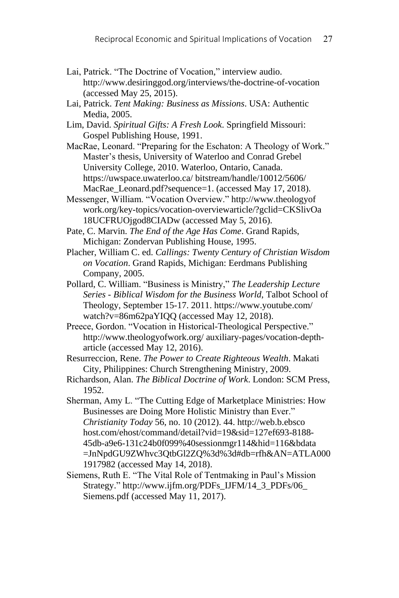- Lai, Patrick. "The Doctrine of Vocation," interview audio. http://www.desiringgod.org/interviews/the-doctrine-of-vocation (accessed May 25, 2015).
- Lai, Patrick. *Tent Making: Business as Missions*. USA: Authentic Media, 2005.
- Lim, David. *Spiritual Gifts: A Fresh Look*. Springfield Missouri: Gospel Publishing House, 1991.
- MacRae, Leonard. "Preparing for the Eschaton: A Theology of Work." Master's thesis, University of Waterloo and Conrad Grebel University College, 2010. Waterloo, Ontario, Canada. https://uwspace.uwaterloo.ca/ bitstream/handle/10012/5606/ MacRae Leonard.pdf?sequence=1. (accessed May 17, 2018).
- Messenger, William. "Vocation Overview." http://www.theologyof work.org/key-topics/vocation-overviewarticle/?gclid=CKSlivOa 18UCFRUOjgod8CIADw (accessed May 5, 2016).
- Pate, C. Marvin. *The End of the Age Has Come*. Grand Rapids, Michigan: Zondervan Publishing House, 1995.
- Placher, William C. ed. *Callings: Twenty Century of Christian Wisdom on Vocation*. Grand Rapids, Michigan: Eerdmans Publishing Company, 2005.
- Pollard, C. William. "Business is Ministry," *The Leadership Lecture Series - Biblical Wisdom for the Business World*, Talbot School of Theology, September 15-17. 2011. https://www.youtube.com/ watch?v=86m62paYIQQ (accessed May 12, 2018).
- Preece, Gordon. "Vocation in Historical-Theological Perspective." http://www.theologyofwork.org/ auxiliary-pages/vocation-deptharticle (accessed May 12, 2016).
- Resurreccion, Rene. *The Power to Create Righteous Wealth*. Makati City, Philippines: Church Strengthening Ministry, 2009.
- Richardson, Alan. *The Biblical Doctrine of Work*. London: SCM Press, 1952.
- Sherman, Amy L. "The Cutting Edge of Marketplace Ministries: How Businesses are Doing More Holistic Ministry than Ever." *Christianity Today* 56, no. 10 (2012). 44. http://web.b.ebsco host.com/ehost/command/detail?vid=19&sid=127ef693-8188- 45db-a9e6-131c24b0f099%40sessionmgr114&hid=116&bdata =JnNpdGU9ZWhvc3QtbGl2ZQ%3d%3d#db=rfh&AN=ATLA000 1917982 (accessed May 14, 2018).
- Siemens, Ruth E. "The Vital Role of Tentmaking in Paul's Mission Strategy." http://www.ijfm.org/PDFs\_IJFM/14\_3\_PDFs/06\_ Siemens.pdf (accessed May 11, 2017).